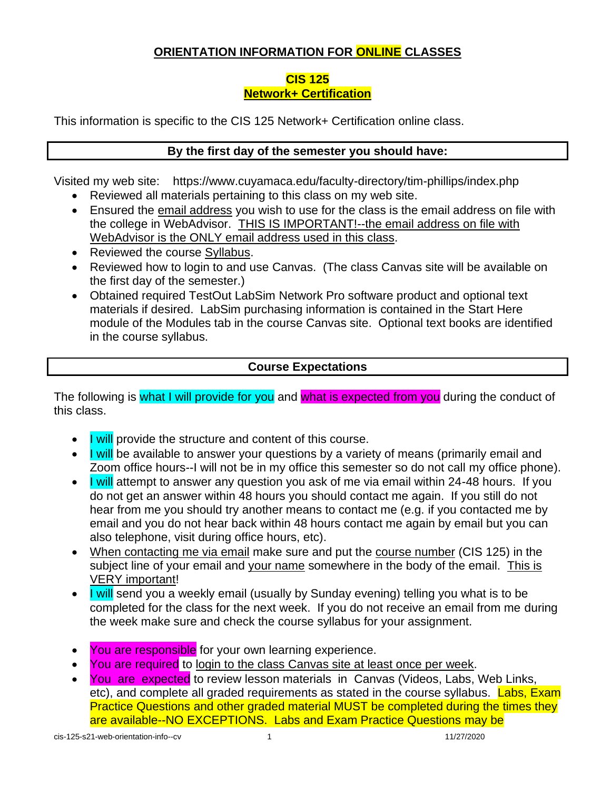# **ORIENTATION INFORMATION FOR ONLINE CLASSES**

### **CIS 125 Network+ Certification**

This information is specific to the CIS 125 Network+ Certification online class.

## **By the first day of the semester you should have:**

Visited my web site: https://www.cuyamaca.edu/faculty-directory/tim-phillips/index.php

- Reviewed all materials pertaining to this class on my web site.
- Ensured the email address you wish to use for the class is the email address on file with the college in WebAdvisor. THIS IS IMPORTANT!--the email address on file with WebAdvisor is the ONLY email address used in this class.
- Reviewed the course Syllabus.
- Reviewed how to login to and use Canvas. (The class Canvas site will be available on the first day of the semester.)
- Obtained required TestOut LabSim Network Pro software product and optional text materials if desired. LabSim purchasing information is contained in the Start Here module of the Modules tab in the course Canvas site. Optional text books are identified in the course syllabus.

### **Course Expectations**

The following is what I will provide for you and what is expected from you during the conduct of this class.

- I will provide the structure and content of this course.
- $\bullet$  I will be available to answer your questions by a variety of means (primarily email and Zoom office hours--I will not be in my office this semester so do not call my office phone).
- I will attempt to answer any question you ask of me via email within 24-48 hours. If you do not get an answer within 48 hours you should contact me again. If you still do not hear from me you should try another means to contact me (e.g. if you contacted me by email and you do not hear back within 48 hours contact me again by email but you can also telephone, visit during office hours, etc).
- When contacting me via email make sure and put the course number (CIS 125) in the subject line of your email and your name somewhere in the body of the email. This is VERY important!
- I will send you a weekly email (usually by Sunday evening) telling you what is to be completed for the class for the next week. If you do not receive an email from me during the week make sure and check the course syllabus for your assignment.
- You are responsible for your own learning experience.
- You are required to login to the class Canvas site at least once per week.
- You are expected to review lesson materials in Canvas (Videos, Labs, Web Links, etc), and complete all graded requirements as stated in the course syllabus. Labs, Exam Practice Questions and other graded material MUST be completed during the times they are available--NO EXCEPTIONS. Labs and Exam Practice Questions may be